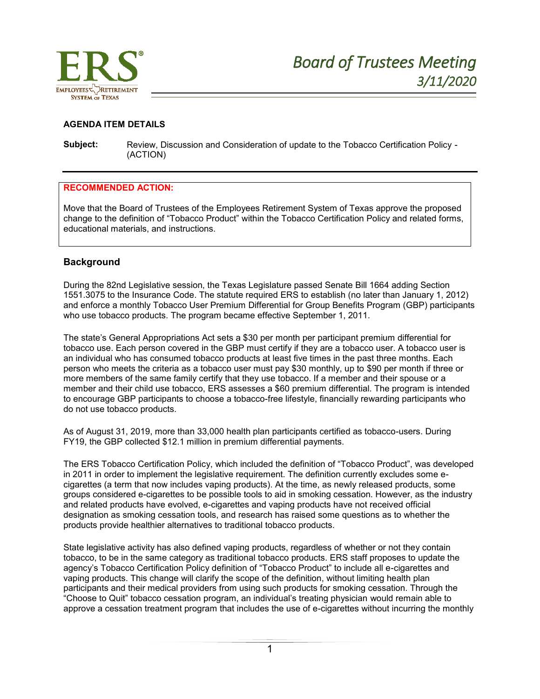

## **AGENDA ITEM DETAILS**

**Subject:** Review, Discussion and Consideration of update to the Tobacco Certification Policy - (ACTION)

## **RECOMMENDED ACTION:**

Move that the Board of Trustees of the Employees Retirement System of Texas approve the proposed change to the definition of "Tobacco Product" within the Tobacco Certification Policy and related forms, educational materials, and instructions.

## **Background**

During the 82nd Legislative session, the Texas Legislature passed Senate Bill 1664 adding Section 1551.3075 to the Insurance Code. The statute required ERS to establish (no later than January 1, 2012) and enforce a monthly Tobacco User Premium Differential for Group Benefits Program (GBP) participants who use tobacco products. The program became effective September 1, 2011.

The state's General Appropriations Act sets a \$30 per month per participant premium differential for tobacco use. Each person covered in the GBP must certify if they are a tobacco user. A tobacco user is an individual who has consumed tobacco products at least five times in the past three months. Each person who meets the criteria as a tobacco user must pay \$30 monthly, up to \$90 per month if three or more members of the same family certify that they use tobacco. If a member and their spouse or a member and their child use tobacco, ERS assesses a \$60 premium differential. The program is intended to encourage GBP participants to choose a tobacco-free lifestyle, financially rewarding participants who do not use tobacco products.

As of August 31, 2019, more than 33,000 health plan participants certified as tobacco-users. During FY19, the GBP collected \$12.1 million in premium differential payments.

The ERS Tobacco Certification Policy, which included the definition of "Tobacco Product", was developed in 2011 in order to implement the legislative requirement. The definition currently excludes some ecigarettes (a term that now includes vaping products). At the time, as newly released products, some groups considered e-cigarettes to be possible tools to aid in smoking cessation. However, as the industry and related products have evolved, e-cigarettes and vaping products have not received official designation as smoking cessation tools, and research has raised some questions as to whether the products provide healthier alternatives to traditional tobacco products.

State legislative activity has also defined vaping products, regardless of whether or not they contain tobacco, to be in the same category as traditional tobacco products. ERS staff proposes to update the agency's Tobacco Certification Policy definition of "Tobacco Product" to include all e-cigarettes and vaping products. This change will clarify the scope of the definition, without limiting health plan participants and their medical providers from using such products for smoking cessation. Through the "Choose to Quit" tobacco cessation program, an individual's treating physician would remain able to approve a cessation treatment program that includes the use of e-cigarettes without incurring the monthly